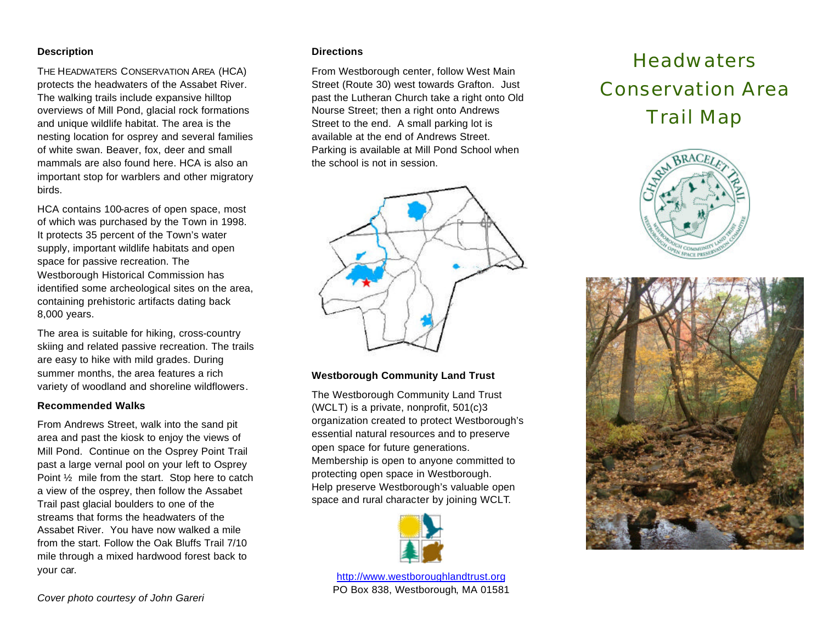### **Description**

THE HEADWATERS CONSERVATION AREA (HCA) protects the headwaters of the Assabet River. The walking trails include expansive hilltop overviews of Mill Pond, glacial rock formations and unique wildlife habitat. The area is the nesting location for osprey and several families of white swan. Beaver, fox, deer and small mammals are also found here. HCA is also an important stop for warblers and other migratory birds.

HCA contains 100-acres of open space, most of which was purchased by the Town in 1998. It protects 35 percent of the Town's water supply, important wildlife habitats and open space for passive recreation. The Westborough Historical Commission has identified some archeological sites on the area, containing prehistoric artifacts dating back 8,000 years.

The area is suitable for hiking, cross-country skiing and related passive recreation. The trails are easy to hike with mild grades. During summer months, the area features a rich variety of woodland and shoreline wildflowers.

#### **Recommended Walks**

From Andrews Street, walk into the sand pit area and past the kiosk to enjoy the views of Mill Pond. Continue on the Osprey Point Trail past a large vernal pool on your left to Osprey Point ½ mile from the start. Stop here to catch a view of the osprey, then follow the Assabet Trail past glacial boulders to one of the streams that forms the headwaters of the Assabet River. You have now walked a mile from the start. Follow the Oak Bluffs Trail 7/10 mile through a mixed hardwood forest back to your car.

#### **Directions**

From Westborough center, follow West Main Street (Route 30) west towards Grafton. Just past the Lutheran Church take a right onto Old Nourse Street; then a right onto Andrews Street to the end. A small parking lot is available at the end of Andrews Street. Parking is available at Mill Pond School when the school is not in session.



## **Westborough Community Land Trust**

The Westborough Community Land Trust (WCLT) is a private, nonprofit, 501(c)3 organization created to protect Westborough's essential natural resources and to preserve open space for future generations. Membership is open to anyone committed to protecting open space in Westborough. Help preserve Westborough's valuable open space and rural character by joining WCLT.



http://www.westboroughlandtrust.org PO Box 838, Westborough, MA 01581

# **Headwaters** Conservation Area Trail Map